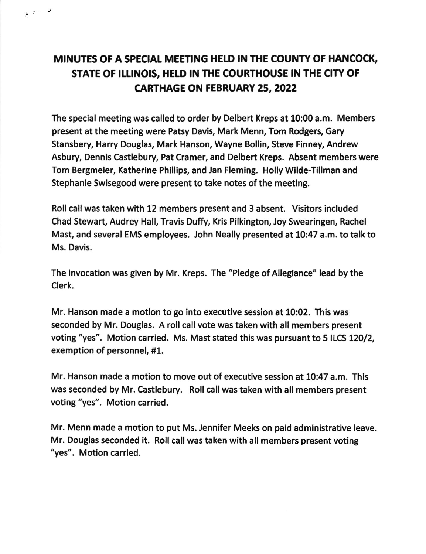## MINUTES OF A SPECIAL MEETING HELD IN THE COUNTY OF HANCOCK, STATE OF ILLINOIS, HELD IN THE COURTHOUSE IN THE CITY OF CARTHAGE ON FEBRUARY 25,2022

 $\epsilon$  and  $\epsilon$ 

The special meeting was called to order by Delbert Kreps at 10:00 a.m. Members present at the meeting were Patsy Davis, Mark Menn, Tom Rodgers, Gary Stansbery, Harry Douglas, Mark Hanson, Wayne Bollin, Steve Finney, Andrew Asbury, Dennis Castlebury, Pat Cramer, and Delbert Kreps. Absent members were Tom Bergmeier, Katherine Phillips, and Jan Fleming. Holly Wilde'Tillman and Stephanie Swisegood were present to take notes of the meeting.

Roll call was taken with 12 members present and 3 absent. Visitors included Chad Stewart, Audrey Hall, Travis Duffy, Kris Pilkington, Joy Swearingen, Rachel Mast, and several EMS employees. John Neally presented at 10:47 a.m. to talk to Ms. Davis.

The invocation was given by Mr. Kreps. The "Pledge of Allegiance" lead by the Clerk.

Mr. Hanson made a motion to go into executive session at 10:02. This was seconded by Mr. Douglas. A roll call vote was taken with all members present voting "yes". Motion carried. Ms. Mast stated this was pursuant to 5 ILCS 120/2, exemption of personnel, #1.

Mr. Hanson made a motion to move out of executive session at 10:47 a.m. This was seconded by Mr. Castlebury. Roll call was taken with all members present voting "yes". Motion carried.

Mr. Menn made a motion to put Ms. Jennifer Meeks on paid administrative leave. Mr. Douglas seconded it. Roll call was taken with all members present voting "yes". Motion carried.